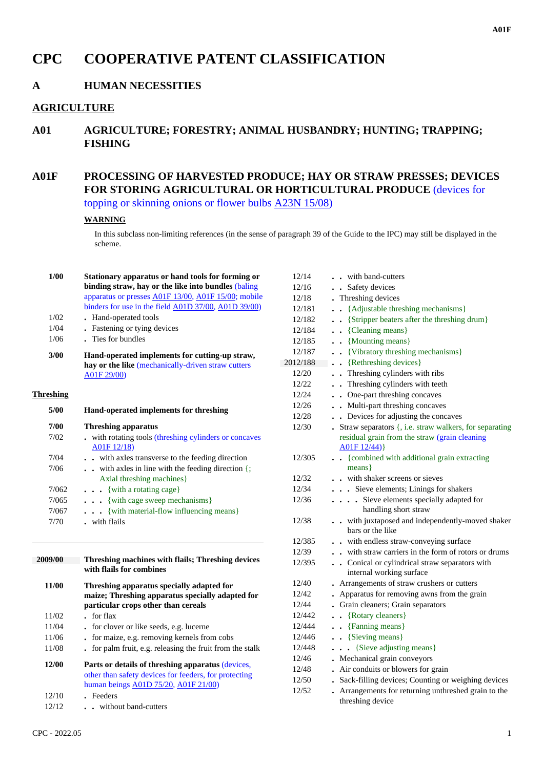# **CPC COOPERATIVE PATENT CLASSIFICATION**

### **A HUMAN NECESSITIES**

### **AGRICULTURE**

**A01 AGRICULTURE; FORESTRY; ANIMAL HUSBANDRY; HUNTING; TRAPPING; FISHING**

## **A01F PROCESSING OF HARVESTED PRODUCE; HAY OR STRAW PRESSES; DEVICES FOR STORING AGRICULTURAL OR HORTICULTURAL PRODUCE** (devices for topping or skinning onions or flower bulbs A23N 15/08)

#### **WARNING**

In this subclass non-limiting references (in the sense of paragraph 39 of the Guide to the IPC) may still be displayed in the scheme.

| 1/00             | Stationary apparatus or hand tools for forming or<br>binding straw, hay or the like into bundles (baling | 12/14<br>12/16 |  |
|------------------|----------------------------------------------------------------------------------------------------------|----------------|--|
|                  | apparatus or presses A01F 13/00, A01F 15/00; mobile                                                      | 12/18          |  |
|                  | binders for use in the field A01D 37/00, A01D 39/00)                                                     | 12/181         |  |
| 1/02             | • Hand-operated tools                                                                                    | 12/182         |  |
| 1/04             | . Fastening or tying devices                                                                             | 12/184         |  |
| 1/06             | . Ties for bundles                                                                                       | 12/185         |  |
| 3/00             | Hand-operated implements for cutting-up straw,                                                           | 12/187         |  |
|                  | hay or the like (mechanically-driven straw cutters                                                       | 2012/188       |  |
|                  | A01F 29/00)                                                                                              | 12/20          |  |
|                  |                                                                                                          | 12/22          |  |
| <b>Threshing</b> |                                                                                                          | 12/24          |  |
| 5/00             | Hand-operated implements for threshing                                                                   | 12/26          |  |
|                  |                                                                                                          | 12/28          |  |
| 7/00<br>7/02     | <b>Threshing apparatus</b>                                                                               | 12/30          |  |
|                  | . with rotating tools (threshing cylinders or concaves<br>A01F 12/18)                                    |                |  |
| 7/04             | . . with axles transverse to the feeding direction                                                       | 12/305         |  |
| 7/06             | with axles in line with the feeding direction {;                                                         |                |  |
|                  | Axial threshing machines}                                                                                | 12/32          |  |
| 7/062            | $\cdots$ {with a rotating cage}                                                                          | 12/34          |  |
| 7/065            | . {with cage sweep mechanisms}                                                                           | 12/36          |  |
| 7/067            | . {with material-flow influencing means}                                                                 |                |  |
| 7/70             | . with flails                                                                                            | 12/38          |  |
|                  |                                                                                                          | 12/385         |  |
| 2009/00          | Threshing machines with flails; Threshing devices                                                        | 12/39          |  |
|                  | with flails for combines                                                                                 | 12/395         |  |
| 11/00            | Threshing apparatus specially adapted for                                                                | 12/40          |  |
|                  | maize; Threshing apparatus specially adapted for                                                         | 12/42          |  |
|                  | particular crops other than cereals                                                                      | 12/44          |  |
| 11/02            | . for flax                                                                                               | 12/442         |  |
| 11/04            | . for clover or like seeds, e.g. lucerne                                                                 | 12/444         |  |
| 11/06            | . for maize, e.g. removing kernels from cobs                                                             | 12/446         |  |
| 11/08            | . for palm fruit, e.g. releasing the fruit from the stalk                                                | 12/448         |  |
| 12/00            | Parts or details of threshing apparatus (devices,                                                        | 12/46          |  |
|                  | other than safety devices for feeders, for protecting                                                    | 12/48          |  |
|                  | human beings A01D 75/20, A01F 21/00)                                                                     | 12/50          |  |
| 12/10            | . Feeders                                                                                                | 12/52          |  |
| 12/12            | . . without band-cutters                                                                                 |                |  |
|                  |                                                                                                          |                |  |

| 12/14    | with band-cutters                                                        |
|----------|--------------------------------------------------------------------------|
| 12/16    | • Safety devices                                                         |
| 12/18    | Threshing devices                                                        |
| 12/181   | {Adjustable threshing mechanisms}<br>$\ddot{\phantom{0}}$                |
| 12/182   | • {Stripper beaters after the threshing drum}                            |
| 12/184   | {Cleaning means}<br>$\ddot{\phantom{a}}$                                 |
| 12/185   | . . {Mounting means}                                                     |
| 12/187   | . . {Vibratory threshing mechanisms}                                     |
| 2012/188 | . . {Rethreshing devices}                                                |
| 12/20    | . Threshing cylinders with ribs                                          |
| 12/22    | . Threshing cylinders with teeth                                         |
| 12/24    | • One-part threshing concaves                                            |
| 12/26    | • Multi-part threshing concaves                                          |
| 12/28    | . . Devices for adjusting the concaves                                   |
| 12/30    | Straw separators {, i.e. straw walkers, for separating                   |
|          | residual grain from the straw (grain cleaning                            |
|          | A01F12/44)                                                               |
| 12/305   | {combined with additional grain extracting<br>$\ddot{\phantom{0}}$       |
|          | means }                                                                  |
| 12/32    | with shaker screens or sieves                                            |
| 12/34    | . Sieve elements; Linings for shakers                                    |
| 12/36    | Sieve elements specially adapted for<br>$\ddotsc$                        |
|          | handling short straw                                                     |
| 12/38    | . with juxtaposed and independently-moved shaker                         |
|          | bars or the like                                                         |
| 12/385   | . . with endless straw-conveying surface                                 |
| 12/39    | with straw carriers in the form of rotors or drums                       |
| 12/395   | . Conical or cylindrical straw separators with                           |
|          | internal working surface                                                 |
| 12/40    | • Arrangements of straw crushers or cutters                              |
| 12/42    | • Apparatus for removing awns from the grain                             |
| 12/44    | . Grain cleaners; Grain separators                                       |
| 12/442   | • {Rotary cleaners}                                                      |
| 12/444   | $\overline{\phantom{a}}$ {Fanning means}<br>$\ddot{\phantom{0}}$         |
| 12/446   | . . {Sieving means}                                                      |
| 12/448   | {Sieve adjusting means}<br>$\ddot{\phantom{a}}$<br>$\ddot{\phantom{0}}$  |
| 12/46    | . Mechanical grain conveyors                                             |
| 12/48    | Air conduits or blowers for grain                                        |
| 12/50    | . Sack-filling devices; Counting or weighing devices                     |
| 12/52    | . Arrangements for returning unthreshed grain to the<br>threshing device |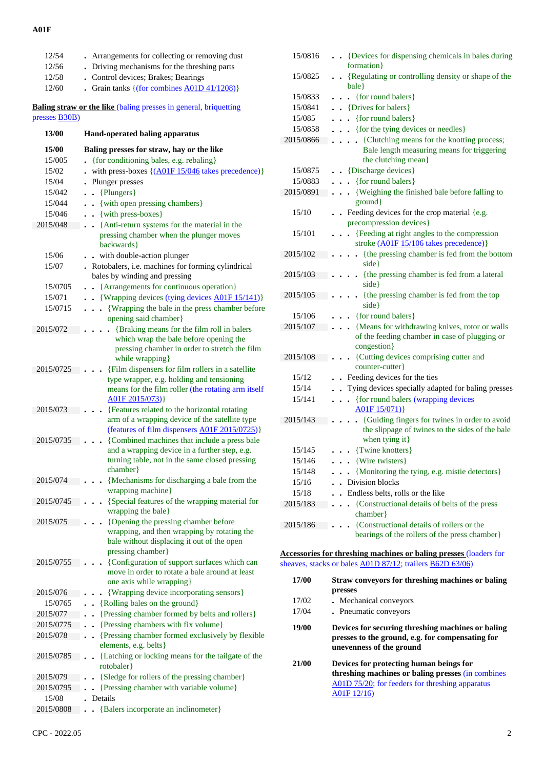#### **A01F**

| 12/54                 | Arrangements for collecting or removing dust                                                                                                                            |
|-----------------------|-------------------------------------------------------------------------------------------------------------------------------------------------------------------------|
| 12/56                 | . Driving mechanisms for the threshing parts                                                                                                                            |
| 12/58                 | . Control devices; Brakes; Bearings                                                                                                                                     |
| 12/60                 | Grain tanks { (for combines A01D 41/1208)}                                                                                                                              |
| presses <b>B30B</b> ) | <b>Baling straw or the like (baling presses in general, briquetting</b>                                                                                                 |
| 13/00                 | Hand-operated baling apparatus                                                                                                                                          |
| 15/00                 | Baling presses for straw, hay or the like                                                                                                                               |
| 15/005                | {for conditioning bales, e.g. rebaling}                                                                                                                                 |
| 15/02                 | with press-boxes $\{(\underline{A01F 15}/046 \text{ takes precedence})\}$                                                                                               |
| 15/04                 | . Plunger presses                                                                                                                                                       |
| 15/042                | $\bullet$ {Plungers}                                                                                                                                                    |
| 15/044                | . . {with open pressing chambers}                                                                                                                                       |
| 15/046                | . . {with press-boxes}                                                                                                                                                  |
| 2015/048              | {Anti-return systems for the material in the<br>$\ddotsc$<br>pressing chamber when the plunger moves<br>backwards }                                                     |
| 15/06                 | with double-action plunger<br>$\ddot{\phantom{0}}$                                                                                                                      |
| 15/07                 | . Rotobalers, i.e. machines for forming cylindrical<br>bales by winding and pressing                                                                                    |
| 15/0705               | {Arrangements for continuous operation}<br>$\ddot{\phantom{a}}$                                                                                                         |
| 15/071                | {Wrapping devices (tying devices A01F 15/141)}<br>$\ddot{\phantom{0}}$                                                                                                  |
| 15/0715               | {Wrapping the bale in the press chamber before<br>opening said chamber}                                                                                                 |
| 2015/072              | {Braking means for the film roll in balers<br>which wrap the bale before opening the<br>pressing chamber in order to stretch the film<br>while wrapping}                |
| 2015/0725             | {Film dispensers for film rollers in a satellite<br>type wrapper, e.g. holding and tensioning<br>means for the film roller (the rotating arm itself<br>A01F 2015/073) } |
| 2015/073              | {Features related to the horizontal rotating<br>arm of a wrapping device of the satellite type<br>(features of film dispensers A01F 2015/0725)}                         |
| 2015/0735             | {Combined machines that include a press bale<br>and a wrapping device in a further step, e.g.<br>turning table, not in the same closed pressing<br>chamber              |
| 2015/074              | {Mechanisms for discharging a bale from the<br>wrapping machine}                                                                                                        |
| 2015/0745             | {Special features of the wrapping material for<br>wrapping the bale}                                                                                                    |
| 2015/075              | {Opening the pressing chamber before<br>wrapping, and then wrapping by rotating the<br>bale without displacing it out of the open<br>pressing chamber}                  |
| 2015/0755             | {Configuration of support surfaces which can<br>move in order to rotate a bale around at least<br>one axis while wrapping }                                             |
| 2015/076              | {Wrapping device incorporating sensors}                                                                                                                                 |
| 15/0765               | {Rolling bales on the ground}                                                                                                                                           |
| 2015/077              | {Pressing chamber formed by belts and rollers}                                                                                                                          |
| 2015/0775             | {Pressing chambers with fix volume}                                                                                                                                     |
| 2015/078              | {Pressing chamber formed exclusively by flexible<br>$\ddot{\phantom{0}}$<br>elements, e.g. belts}                                                                       |
| 2015/0785             | {Latching or locking means for the tailgate of the<br>$\ddot{\phantom{0}}$<br>rotobaler                                                                                 |
| 2015/079              | {Sledge for rollers of the pressing chamber}                                                                                                                            |
| 2015/0795             | {Pressing chamber with variable volume}                                                                                                                                 |
| 15/08                 | Details                                                                                                                                                                 |
| 2015/0808             | {Balers incorporate an inclinometer}                                                                                                                                    |

| 15/0816   | {Devices for dispensing chemicals in bales during<br>formation }                                                                  |
|-----------|-----------------------------------------------------------------------------------------------------------------------------------|
| 15/0825   | {Regulating or controlling density or shape of the                                                                                |
|           | bale }                                                                                                                            |
| 15/0833   | • {for round balers}                                                                                                              |
| 15/0841   | . . {Drives for balers}                                                                                                           |
| 15/085    | . {for round balers}                                                                                                              |
| 15/0858   | . { for the tying devices or needles}                                                                                             |
| 2015/0866 | {Clutching means for the knotting process;<br>Bale length measuring means for triggering<br>the clutching mean}                   |
| 15/0875   | $\bullet$ $\bullet$ {Discharge devices}                                                                                           |
| 15/0883   | {for round balers}<br>$\ddot{\phantom{0}}$                                                                                        |
| 2015/0891 | {Weighing the finished bale before falling to<br>$\ddot{\phantom{0}}$<br>ground}                                                  |
| 15/10     | . Feeding devices for the crop material {e.g.<br>precompression devices}                                                          |
| 15/101    | {Feeding at right angles to the compression<br>$\ddot{\phantom{a}}$                                                               |
|           | stroke (A01F 15/106 takes precedence)}                                                                                            |
| 2015/102  | {the pressing chamber is fed from the bottom<br>$\ddot{\phantom{0}}$<br>side }                                                    |
| 2015/103  | {the pressing chamber is fed from a lateral<br>side}                                                                              |
| 2015/105  | . {the pressing chamber is fed from the top<br>side}                                                                              |
| 15/106    | • {for round balers}                                                                                                              |
| 2015/107  | {Means for withdrawing knives, rotor or walls<br>$\ddot{\phantom{0}}$                                                             |
|           | of the feeding chamber in case of plugging or<br>congestion}                                                                      |
| 2015/108  | {Cutting devices comprising cutter and<br>counter-cutter}                                                                         |
| 15/12     | . Feeding devices for the ties                                                                                                    |
| 15/14     | Tying devices specially adapted for baling presses                                                                                |
| 15/141    | {for round balers (wrapping devices<br>A01F 15/071)                                                                               |
| 2015/143  | {Guiding fingers for twines in order to avoid<br>the slippage of twines to the sides of the bale<br>when tying it}                |
| 15/145    | $\bullet$ $\bullet$ {Twine knotters}                                                                                              |
| 15/146    | . . {Wire twisters}                                                                                                               |
| 15/148    | {Monitoring the tying, e.g. mistie detectors}<br>$\ddot{\phantom{0}}$                                                             |
| 15/16     | . Division blocks                                                                                                                 |
| 15/18     | . Endless belts, rolls or the like                                                                                                |
| 2015/183  | {Constructional details of belts of the press<br>chamber}                                                                         |
| 2015/186  | {Constructional details of rollers or the                                                                                         |
|           | bearings of the rollers of the press chamber}                                                                                     |
|           | <b>Accessories for threshing machines or baling presses (loaders for</b>                                                          |
|           | sheaves, stacks or bales A01D 87/12; trailers B62D 63/06)                                                                         |
| 17/00     | Straw conveyors for threshing machines or baling<br>presses                                                                       |
| 17/02     | . Mechanical conveyors                                                                                                            |
| 17/04     | . Pneumatic conveyors                                                                                                             |
| 19/00     | Devices for securing threshing machines or baling<br>presses to the ground, e.g. for compensating for<br>unevenness of the ground |

 **21/00 Devices for protecting human beings for threshing machines or baling presses** (in combines A01D 75/20; for feeders for threshing apparatus A01F 12/16)